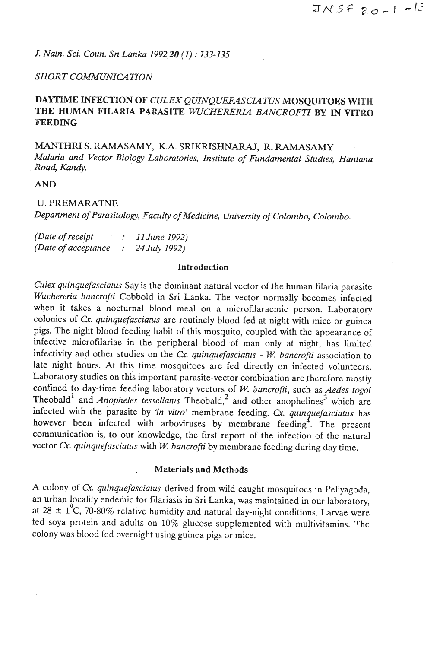*J. Natn. Sci. Coun. Sri Lanka 1992.20 (1)* : *133-135* 

## *SHORT COMMUNICATION*

# **DAYTIME INFECTION OF** *CULEX QUINQUEFASCUTUS* **MOSQUITOES WITH**  THE HUMAN FILARIA PARASITE *WUCHERERIA BANCROFTI* BY IN VITRO **FEEDING**

**MANTHRI** S. PAMASAMY, K.A. SRIKRISHNARAJ, **R.** RAMASAMY *Malaria and Vector Biology Laboratories, Institute of Fundamental Studies, Hantana Road, Kandy.* 

**AND** 

## U. PREMARATNE

*Department of Parasitology, \_Faculty @Medicine, University of Colombo, Colombo.* 

| (Date of receipt)    | 11 June 1992) |
|----------------------|---------------|
| (Date of acceptance) | 24 July 1992) |

## **Introduction**

*Culex quinquefasciatus* Say is the dominant natural vector of the human filaria parasite *Wuchereria bancrofii* Cobbold in Sri Lanka. The vector normally becomes infected when it takes a nocturnal blood meal on a microfilaraemic person. Laboratory colonies of Cx. *quinquefasciatus* are routinely blood fed at night with mice or guinea pigs. The night blood feeding habit of this mosquito, coupled with the appearance of infective microfilariae in the peripheral blood of man only at night, has limited infectivity and other studies on the Cx. *quinquefasciatus - W. bancrofti* association to late night hours. At this time mosquitoes are fed directly on infected volunteers. Laboratory studies on this important parasite-vector combination are therefore mostly confined to day-time feeding laboratory vectors of W. *bancrofti,* such as *Aedes togoi*  Theobald<sup>1</sup> and *Anopheles tessellatus* Theobald,<sup>2</sup> and other anophelines<sup>3</sup> which are infected with the parasite by 'in vitro' membrane feeding. Cx. quinquefasciatus has however been infected with arboviruses by membrane feeding<sup>4</sup>. The present communication is, to our knowledge, the first report of the infection of the natural vector **Cx.** *quinquefasciatus* with *W. bancrofti* by membrane feeding during day time.

## . Materials **and** Methods

A colony of **Cr.** *quinquefasciatus* derived from wild caught mosquitoes in Peliyagoda, an urban locality endemic for filariasis in Sri Lanka, was maintained in our laboratory, at  $28 \pm 1^{\circ}$ C, 70-80% relative humidity and natural day-night conditions. Larvae were fed soya protein and adults on 10% glucose supplemented with multivitamins. The colony was blood fed overnight using guinea pigs or mice.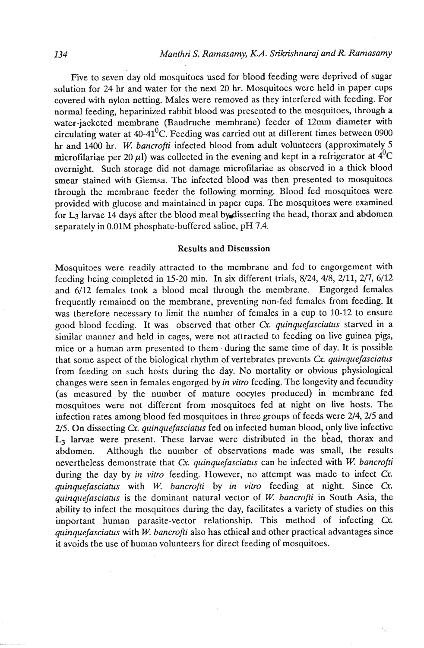Five to seven day old mosquitoes used for blood feeding were deprived of sugar solution for 24 **hr** and water for the next 20 hr. Mosquitoes were held in paper cups covered with nylon netting. Males were removed as they interfered with feeding. For normal feeding, heparinized rabbit blood was presented to the mosquitoes, through a water-jacketed membrane (Baudruche membrane) feeder of 12mm diameter with circulating water at  $40-41^0C$ . Feeding was carried out at different times between 0900 **hr** and **1400** hr. *W bancrofti* infected blood from adult volunteers (approximately 5 microfilariae per 20  $\mu$ l) was collected in the evening and kept in a refrigerator at  $4^{0}C$ overnight. Such storage did not damage microfilariae as observed in a thick blood smear stained with Giemsa. The infected blood was then presented to mosquitoes through the membrane feeder the following morning. Blood fed mosquitoes were provided with glucose and maintained in paper cups. The mosquitoes were examined for **L3** larvae 14 days after the blood meal bydissecting the head, thorax and abdomen separately in 0.01M phosphate-buffered saline, pH 7.4.

#### Results and Discussion

Mosquitoes were readily attracted to the membrane and fed to engorgement with feeding being completed in 15-20 min. In six different trials, 8/24, 4/8, 2/11, 2/7, 6/12 and 6/12 females took a blood meal through the membrane. Engorged females frequently remained on the membrane, preventing non-fed females from feeding. It was therefore necessary to limit the number of females in a cup to 10-12 to ensure good blood feeding. It was observed that other Cx. *quinquefasciatus* starved in a similar manner and held in cages, were not attracted to feeding on live guinea pigs, mice or a human arm presented to them. during the same time of day. It is possible that some aspect of the biological rhythm of vertebrates prevents **Cx.** *quinquefasciatus*  from feeding on such hosts during the day. No mortality or obvious physiological changes were seen in females engorged by *in vitro* feeding. The longevity and fecundity (as measured by the number of mature oocytes produced) in membrane fed mosquitoes were not different from mosquitoes fed at night on live hosts. The infection rates among blood fed mosquitoes in three groups of feeds were 214,215 and 2/5. On dissecting Cx. *quinquefasciatus* fed on infected human blood, only live infective L<sub>3</sub> larvae were present. These larvae were distributed in the head, thorax and abdomen. Although the number of observations made was small, the results nevertheless demonstrate that **Cu.** *quinquefasciatus* can be infected with W. *bancrofti*  during the day by *in vitro* feeding. However, no attempt was made to infect Cx. *quinquefasciatus* with *W. bancrofti by in vitro feeding at night. Since Cx. quinquefasciatus* is the dominant natural vector of *W bancrofti* in South Asia, the ability to infect the mosquitoes during the day, facilitates a variety of studies on this important human parasite-vector relationship. This method of infecting Cx. *quinquefasciatus* with *W. bancrofti* also has ethical and other practical advantages since it avoids the use of human volunteers for direct feeding of mosquitoes.